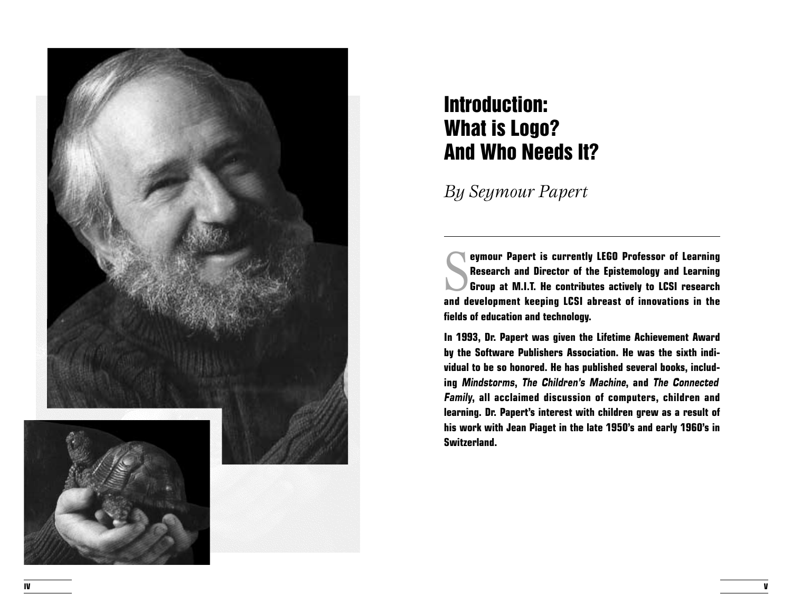

## Introduction: What is Logo? And Who Needs It?

*By Seymour Papert*

**Express of Learning Serverse September 1986**<br>Research and Director of the Epistemology and Learning<br>Group at M.I.T. He contributes actively to LCSI research<br>and development looping LCSI almost of incountions in the **Research and Director of the Epistemology and Learning Group at M.I.T. He contributes actively to LCSI research and development keeping LCSI abreast of innovations in the fields of education and technology.**

**In 1993, Dr. Papert was given the Lifetime Achievement Award by the Software Publishers Association. He was the sixth individual to be so honored. He has published several books, including Mindstorms, The Children's Machine, and The Connected Family, all acclaimed discussion of computers, children and learning. Dr. Papert's interest with children grew as a result of his work with Jean Piaget in the late 1950's and early 1960's in Switzerland.**

**V**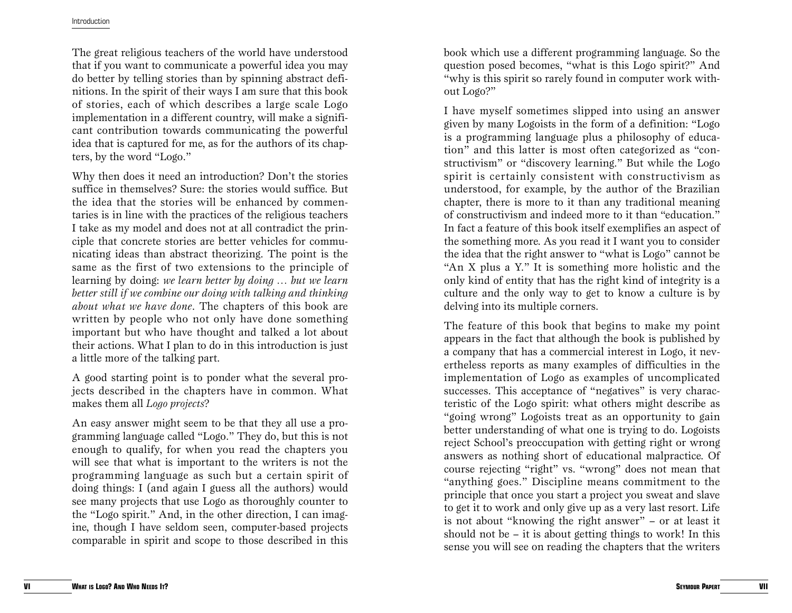## Introduction

The great religious teachers of the world have understood that if you want to communicate a powerful idea you may do better by telling stories than by spinning abstract definitions. In the spirit of their ways I am sure that this book of stories, each of which describes a large scale Logo implementation in a different country, will make a significant contribution towards communicating the powerful idea that is captured for me, as for the authors of its chapters, by the word "Logo."

Why then does it need an introduction? Don't the stories suffice in themselves? Sure: the stories would suffice. But the idea that the stories will be enhanced by commentaries is in line with the practices of the religious teachers I take as my model and does not at all contradict the principle that concrete stories are better vehicles for communicating ideas than abstract theorizing. The point is the same as the first of two extensions to the principle of learning by doing: *we learn better by doing … but we learn better still if we combine our doing with talking and thinking about what we have done*. The chapters of this book are written by people who not only have done something important but who have thought and talked a lot about their actions. What I plan to do in this introduction is just a little more of the talking part.

A good starting point is to ponder what the several projects described in the chapters have in common. What makes them all *Logo projects* ?

An easy answer might seem to be that they all use a programming language called "Logo." They do, but this is not enough to qualify, for when you read the chapters you will see that what is important to the writers is not the programming language as such but a certain spirit of doing things: I (and again I guess all the authors) would see many projects that use Logo as thoroughly counter to the "Logo spirit." And, in the other direction, I can imagine, though I have seldom seen, computer-based projects comparable in spirit and scope to those described in this

book which use a different programming language. So the question posed becomes, "what is this Logo spirit?" And "why is this spirit so rarely found in computer work without Logo?"

I have myself sometimes slipped into using an answer given by many Logoists in the form of a definition: "Logo is a programming language plus a philosophy of education" and this latter is most often categorized as "constructivism" or "discovery learning." But while the Logo spirit is certainly consistent with constructivism as understood, for example, by the author of the Brazilian chapter, there is more to it than any traditional meaning of constructivism and indeed more to it than "education." In fact a feature of this book itself exemplifies an aspect of the something more. As you read it I want you to consider the idea that the right answer to "what is Logo" cannot be "An X plus a Y." It is something more holistic and the only kind of entity that has the right kind of integrity is a culture and the only way to get to know a culture is by delving into its multiple corners.

The feature of this book that begins to make my point appears in the fact that although the book is published by a company that has a commercial interest in Logo, it nevertheless reports as many examples of difficulties in the implementation of Logo as examples of uncomplicated successes. This acceptance of "negatives" is very characteristic of the Logo spirit: what others might describe as "going wrong" Logoists treat as an opportunity to gain better understanding of what one is trying to do. Logoists reject School's preoccupation with getting right or wrong answers as nothing short of educational malpractice. Of course rejecting "right" vs. "wrong" does not mean that "anything goes." Discipline means commitment to the principle that once you start a project you sweat and slave to get it to work and only give up as a very last resort. Life is not about "knowing the right answer" – or at least it should not be – it is about getting things to work! In this sense you will see on reading the chapters that the writers

**VI**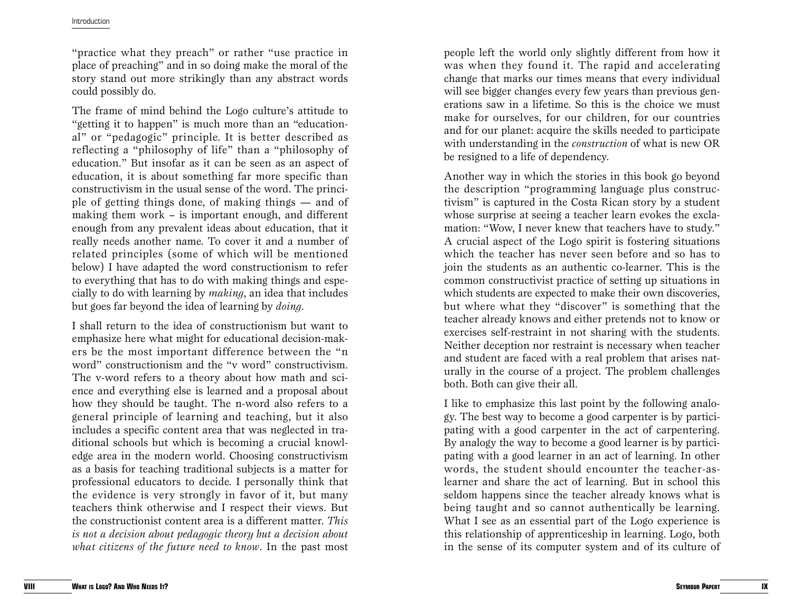"practice what they preach" or rather "use practice in place of preaching" and in so doing make the moral of the story stand out more strikingly than any abstract words could possibly do.

The frame of mind behind the Logo culture's attitude to "getting it to happen" is much more than an "educational" or "pedagogic" principle. It is better described as reflecting a "philosophy of life" than a "philosophy of education." But insofar as it can be seen as an aspect of education, it is about something far more specific than constructivism in the usual sense of the word. The principle of getting things done, of making things — and of making them work – is important enough, and different enough from any prevalent ideas about education, that it really needs another name. To cover it and a number of related principles (some of which will be mentioned below) I have adapted the word constructionism to refer to everything that has to do with making things and especially to do with learning by *making*, an idea that includes but goes far beyond the idea of learning by *doing* .

I shall return to the idea of constructionism but want to emphasize here what might for educational decision-makers be the most important difference between the "n word" constructionism and the "v word" constructivism. The v-word refers to a theory about how math and science and everything else is learned and a proposal about how they should be taught. The n-word also refers to a general principle of learning and teaching, but it also includes a specific content area that was neglected in traditional schools but which is becoming a crucial knowledge area in the modern world. Choosing constructivism as a basis for teaching traditional subjects is a matter for professional educators to decide. I personally think that the evidence is very strongly in favor of it, but many teachers think otherwise and I respect their views. But the constructionist content area is a different matter. *This is not a decision about pedagogic theory but a decision about what citizens of the future need to know*. In the past most

people left the world only slightly different from how it was when they found it. The rapid and accelerating change that marks our times means that every individual will see bigger changes every few years than previous generations saw in a lifetime. So this is the choice we must make for ourselves, for our children, for our countries and for our planet: acquire the skills needed to participate with understanding in the *construction* of what is new OR be resigned to a life of dependency.

Another way in which the stories in this book go beyond the description "programming language plus constructivism" is captured in the Costa Rican story by a student whose surprise at seeing a teacher learn evokes the exclamation: "Wow, I never knew that teachers have to study." A crucial aspect of the Logo spirit is fostering situations which the teacher has never seen before and so has to join the students as an authentic co-learner. This is the common constructivist practice of setting up situations in which students are expected to make their own discoveries, but where what they "discover" is something that the teacher already knows and either pretends not to know or exercises self-restraint in not sharing with the students. Neither deception nor restraint is necessary when teacher and student are faced with a real problem that arises naturally in the course of a project. The problem challenges both. Both can give their all.

I like to emphasize this last point by the following analogy. The best way to become a good carpenter is by participating with a good carpenter in the act of carpentering. By analogy the way to become a good learner is by participating with a good learner in an act of learning. In other words, the student should encounter the teacher-aslearner and share the act of learning. But in school this seldom happens since the teacher already knows what is being taught and so cannot authentically be learning. What I see as an essential part of the Logo experience is this relationship of apprenticeship in learning. Logo, both in the sense of its computer system and of its culture of

**VIII**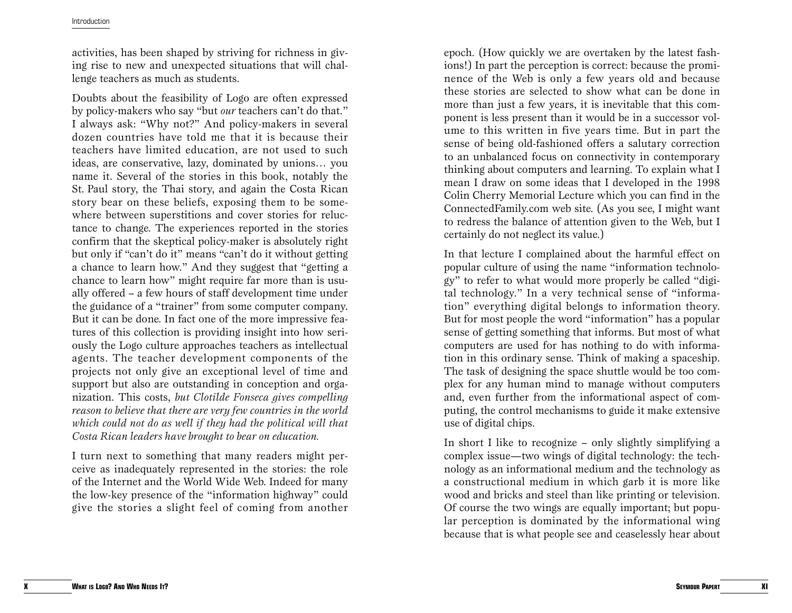## Introduction

activities, has been shaped by striving for richness in giving rise to new and unexpected situations that will challenge teachers as much as students.

Doubts about the feasibility of Logo are often expressed by policy-makers who say "but *our* teachers can't do that." I always ask: "Why not?" And policy-makers in several dozen countries have told me that it is because their teachers have limited education, are not used to such ideas, are conservative, lazy, dominated by unions… you name it. Several of the stories in this book, notably the St. Paul story, the Thai story, and again the Costa Rican story bear on these beliefs, exposing them to be somewhere between superstitions and cover stories for reluctance to change. The experiences reported in the stories confirm that the skeptical policy-maker is absolutely right but only if "can't do it" means "can't do it without getting a chance to learn how." And they suggest that "getting a chance to learn how" might require far more than is usually offered – a few hours of staff development time under the guidance of a "trainer" from some computer company. But it can be done. In fact one of the more impressive features of this collection is providing insight into how seriously the Logo culture approaches teachers as intellectual agents. The teacher development components of the projects not only give an exceptional level of time and support but also are outstanding in conception and organization. This costs, *but Clotilde Fonseca gives compelling reason to believe that there are very few countries in the world which could not do as well if they had the political will that Costa Rican leaders have brought to bear on education.*

I turn next to something that many readers might perceive as inadequately represented in the stories: the role of the Internet and the World Wide Web. Indeed for many the low-key presence of the "information highway" could give the stories a slight feel of coming from another

epoch. (How quickly we are overtaken by the latest fashions!) In part the perception is correct: because the prominence of the Web is only a few years old and because these stories are selected to show what can be done in more than just a few years, it is inevitable that this component is less present than it would be in a successor volume to this written in five years time. But in part the sense of being old-fashioned offers a salutary correction to an unbalanced focus on connectivity in contemporary thinking about computers and learning. To explain what I mean I draw on some ideas that I developed in the 1998 Colin Cherry Memorial Lecture which you can find in the ConnectedFamily.com web site. (As you see, I might want to redress the balance of attention given to the Web, but I certainly do not neglect its value.)

In that lecture I complained about the harmful effect on popular culture of using the name "information technology" to refer to what would more properly be called "digital technology." In a very technical sense of "information" everything digital belongs to information theory. But for most people the word "information" has a popular sense of getting something that informs. But most of what computers are used for has nothing to do with information in this ordinary sense. Think of making a spaceship. The task of designing the space shuttle would be too complex for any human mind to manage without computers and, even further from the informational aspect of computing, the control mechanisms to guide it make extensive use of digital chips.

In short I like to recognize – only slightly simplifying a complex issue—two wings of digital technology: the technology as an informational medium and the technology as a constructional medium in which garb it is more like wood and bricks and steel than like printing or television. Of course the two wings are equally important; but popular perception is dominated by the informational wing because that is what people see and ceaselessly hear about

**X**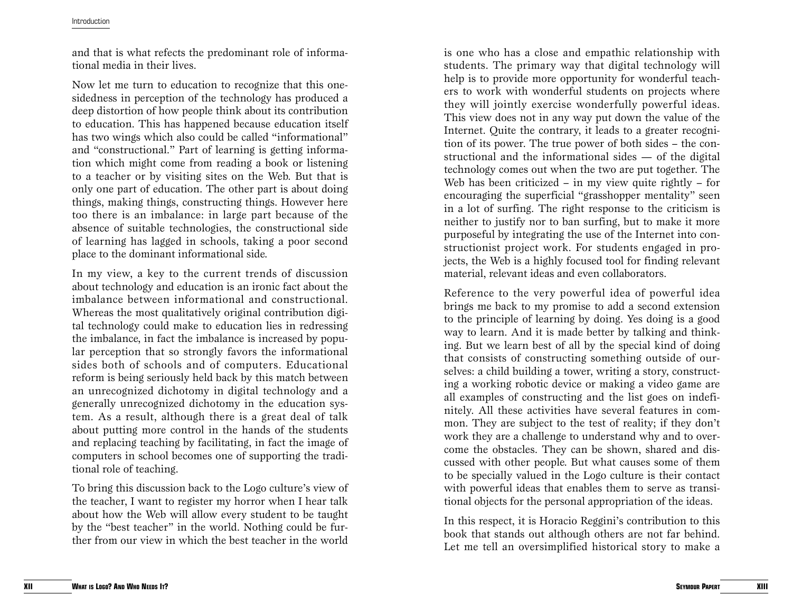and that is what refects the predominant role of informational media in their lives.

Now let me turn to education to recognize that this onesidedness in perception of the technology has produced a deep distortion of how people think about its contribution to education. This has happened because education itself has two wings which also could be called "informational" and "constructional." Part of learning is getting information which might come from reading a book or listening to a teacher or by visiting sites on the Web. But that is only one part of education. The other part is about doing things, making things, constructing things. However here too there is an imbalance: in large part because of the absence of suitable technologies, the constructional side of learning has lagged in schools, taking a poor second place to the dominant informational side.

In my view, a key to the current trends of discussion about technology and education is an ironic fact about the imbalance between informational and constructional. Whereas the most qualitatively original contribution digital technology could make to education lies in redressing the imbalance, in fact the imbalance is increased by popular perception that so strongly favors the informational sides both of schools and of computers. Educational reform is being seriously held back by this match between an unrecognized dichotomy in digital technology and a generally unrecognized dichotomy in the education system. As a result, although there is a great deal of talk about putting more control in the hands of the students and replacing teaching by facilitating, in fact the image of computers in school becomes one of supporting the traditional role of teaching.

To bring this discussion back to the Logo culture's view of the teacher, I want to register my horror when I hear talk about how the Web will allow every student to be taught by the "best teacher" in the world. Nothing could be further from our view in which the best teacher in the world

is one who has a close and empathic relationship with students. The primary way that digital technology will help is to provide more opportunity for wonderful teachers to work with wonderful students on projects where they will jointly exercise wonderfully powerful ideas. This view does not in any way put down the value of the Internet. Quite the contrary, it leads to a greater recognition of its power. The true power of both sides – the constructional and the informational sides — of the digital technology comes out when the two are put together. The Web has been criticized – in my view quite rightly – for encouraging the superficial "grasshopper mentality" seen in a lot of surfing. The right response to the criticism is neither to justify nor to ban surfing, but to make it more purposeful by integrating the use of the Internet into constructionist project work. For students engaged in projects, the Web is a highly focused tool for finding relevant material, relevant ideas and even collaborators.

Reference to the very powerful idea of powerful idea brings me back to my promise to add a second extension to the principle of learning by doing. Yes doing is a good way to learn. And it is made better by talking and thinking. But we learn best of all by the special kind of doing that consists of constructing something outside of ourselves: a child building a tower, writing a story, constructing a working robotic device or making a video game are all examples of constructing and the list goes on indefinitely. All these activities have several features in common. They are subject to the test of reality; if they don't work they are a challenge to understand why and to overcome the obstacles. They can be shown, shared and discussed with other people. But what causes some of them to be specially valued in the Logo culture is their contact with powerful ideas that enables them to serve as transitional objects for the personal appropriation of the ideas.

In this respect, it is Horacio Reggini's contribution to this book that stands out although others are not far behind. Let me tell an oversimplified historical story to make a

**XII**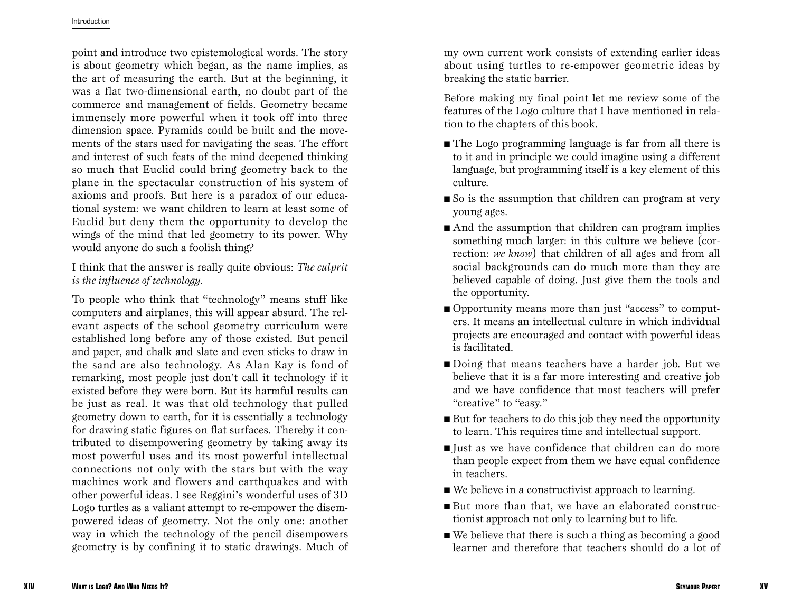point and introduce two epistemological words. The story is about geometry which began, as the name implies, as the art of measuring the earth. But at the beginning, it was a flat two-dimensional earth, no doubt part of the commerce and management of fields. Geometry became immensely more powerful when it took off into three dimension space. Pyramids could be built and the movements of the stars used for navigating the seas. The effort and interest of such feats of the mind deepened thinking so much that Euclid could bring geometry back to the plane in the spectacular construction of his system of axioms and proofs. But here is a paradox of our educational system: we want children to learn at least some of Euclid but deny them the opportunity to develop the wings of the mind that led geometry to its power. Why would anyone do such a foolish thing?

I think that the answer is really quite obvious: *The culprit is the influence of technology.* 

To people who think that "technology" means stuff like computers and airplanes, this will appear absurd. The relevant aspects of the school geometry curriculum were established long before any of those existed. But pencil and paper, and chalk and slate and even sticks to draw in the sand are also technology. As Alan Kay is fond of remarking, most people just don't call it technology if it existed before they were born. But its harmful results can be just as real. It was that old technology that pulled geometry down to earth, for it is essentially a technology for drawing static figures on flat surfaces. Thereby it contributed to disempowering geometry by taking away its most powerful uses and its most powerful intellectual connections not only with the stars but with the way machines work and flowers and earthquakes and with other powerful ideas. I see Reggini's wonderful uses of 3D Logo turtles as a valiant attempt to re-empower the disempowered ideas of geometry. Not the only one: another way in which the technology of the pencil disempowers geometry is by confining it to static drawings. Much of

my own current work consists of extending earlier ideas about using turtles to re-empower geometric ideas by breaking the static barrier.

Before making my final point let me review some of the features of the Logo culture that I have mentioned in relation to the chapters of this book.

- The Logo programming language is far from all there is to it and in principle we could imagine using a different language, but programming itself is a key element of this culture.
- So is the assumption that children can program at very young ages.
- And the assumption that children can program implies something much larger: in this culture we believe (correction: *we know*) that children of all ages and from all social backgrounds can do much more than they are believed capable of doing. Just give them the tools and the opportunity.
- Opportunity means more than just "access" to computers. It means an intellectual culture in which individual projects are encouraged and contact with powerful ideas is facilitated.
- Doing that means teachers have a harder job. But we believe that it is a far more interesting and creative job and we have confidence that most teachers will prefer "creative" to "easy."
- But for teachers to do this job they need the opportunity to learn. This requires time and intellectual support.
- Just as we have confidence that children can do more than people expect from them we have equal confidence in teachers.
- We believe in a constructivist approach to learning.
- But more than that, we have an elaborated constructionist approach not only to learning but to life.
- We believe that there is such a thing as becoming a good learner and therefore that teachers should do a lot of

**XIV**